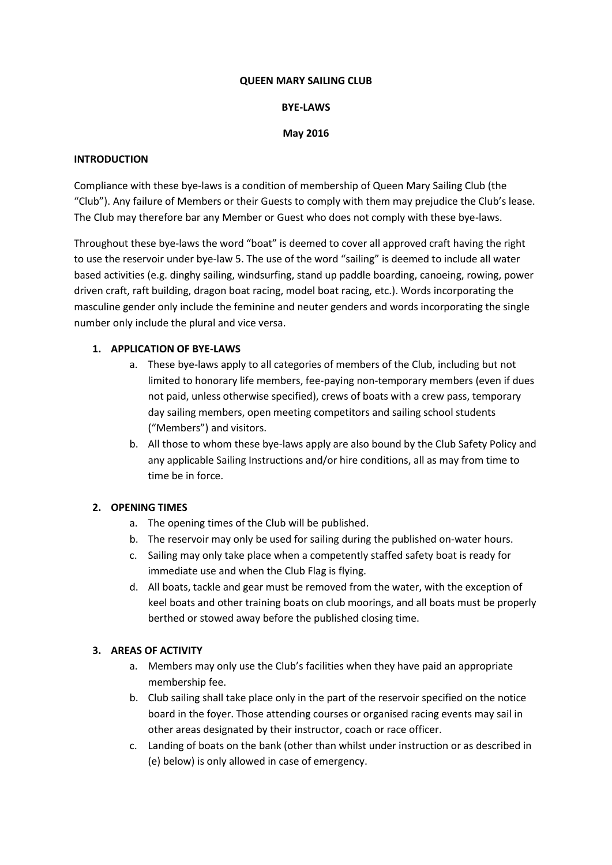#### **QUEEN MARY SAILING CLUB**

#### **BYE-LAWS**

#### **May 2016**

#### **INTRODUCTION**

Compliance with these bye-laws is a condition of membership of Queen Mary Sailing Club (the "Club"). Any failure of Members or their Guests to comply with them may prejudice the Club's lease. The Club may therefore bar any Member or Guest who does not comply with these bye-laws.

Throughout these bye-laws the word "boat" is deemed to cover all approved craft having the right to use the reservoir under bye-law 5. The use of the word "sailing" is deemed to include all water based activities (e.g. dinghy sailing, windsurfing, stand up paddle boarding, canoeing, rowing, power driven craft, raft building, dragon boat racing, model boat racing, etc.). Words incorporating the masculine gender only include the feminine and neuter genders and words incorporating the single number only include the plural and vice versa.

#### **1. APPLICATION OF BYE-LAWS**

- a. These bye-laws apply to all categories of members of the Club, including but not limited to honorary life members, fee-paying non-temporary members (even if dues not paid, unless otherwise specified), crews of boats with a crew pass, temporary day sailing members, open meeting competitors and sailing school students ("Members") and visitors.
- b. All those to whom these bye-laws apply are also bound by the Club Safety Policy and any applicable Sailing Instructions and/or hire conditions, all as may from time to time be in force.

### **2. OPENING TIMES**

- a. The opening times of the Club will be published.
- b. The reservoir may only be used for sailing during the published on-water hours.
- c. Sailing may only take place when a competently staffed safety boat is ready for immediate use and when the Club Flag is flying.
- d. All boats, tackle and gear must be removed from the water, with the exception of keel boats and other training boats on club moorings, and all boats must be properly berthed or stowed away before the published closing time.

### **3. AREAS OF ACTIVITY**

- a. Members may only use the Club's facilities when they have paid an appropriate membership fee.
- b. Club sailing shall take place only in the part of the reservoir specified on the notice board in the foyer. Those attending courses or organised racing events may sail in other areas designated by their instructor, coach or race officer.
- c. Landing of boats on the bank (other than whilst under instruction or as described in (e) below) is only allowed in case of emergency.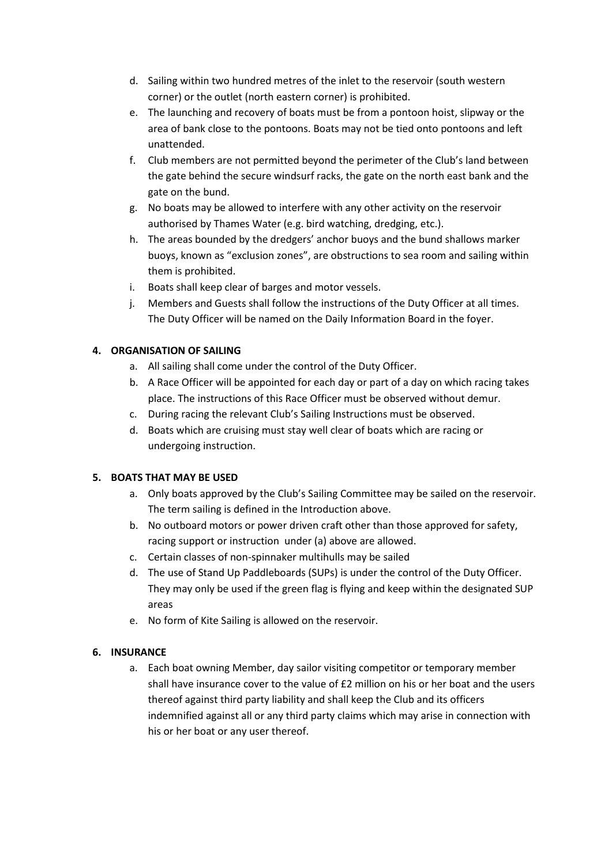- d. Sailing within two hundred metres of the inlet to the reservoir (south western corner) or the outlet (north eastern corner) is prohibited.
- e. The launching and recovery of boats must be from a pontoon hoist, slipway or the area of bank close to the pontoons. Boats may not be tied onto pontoons and left unattended.
- f. Club members are not permitted beyond the perimeter of the Club's land between the gate behind the secure windsurf racks, the gate on the north east bank and the gate on the bund.
- g. No boats may be allowed to interfere with any other activity on the reservoir authorised by Thames Water (e.g. bird watching, dredging, etc.).
- h. The areas bounded by the dredgers' anchor buoys and the bund shallows marker buoys, known as "exclusion zones", are obstructions to sea room and sailing within them is prohibited.
- i. Boats shall keep clear of barges and motor vessels.
- j. Members and Guests shall follow the instructions of the Duty Officer at all times. The Duty Officer will be named on the Daily Information Board in the foyer.

# **4. ORGANISATION OF SAILING**

- a. All sailing shall come under the control of the Duty Officer.
- b. A Race Officer will be appointed for each day or part of a day on which racing takes place. The instructions of this Race Officer must be observed without demur.
- c. During racing the relevant Club's Sailing Instructions must be observed.
- d. Boats which are cruising must stay well clear of boats which are racing or undergoing instruction.

# **5. BOATS THAT MAY BE USED**

- a. Only boats approved by the Club's Sailing Committee may be sailed on the reservoir. The term sailing is defined in the Introduction above.
- b. No outboard motors or power driven craft other than those approved for safety, racing support or instruction under (a) above are allowed.
- c. Certain classes of non-spinnaker multihulls may be sailed
- d. The use of Stand Up Paddleboards (SUPs) is under the control of the Duty Officer. They may only be used if the green flag is flying and keep within the designated SUP areas
- e. No form of Kite Sailing is allowed on the reservoir.

# **6. INSURANCE**

a. Each boat owning Member, day sailor visiting competitor or temporary member shall have insurance cover to the value of £2 million on his or her boat and the users thereof against third party liability and shall keep the Club and its officers indemnified against all or any third party claims which may arise in connection with his or her boat or any user thereof.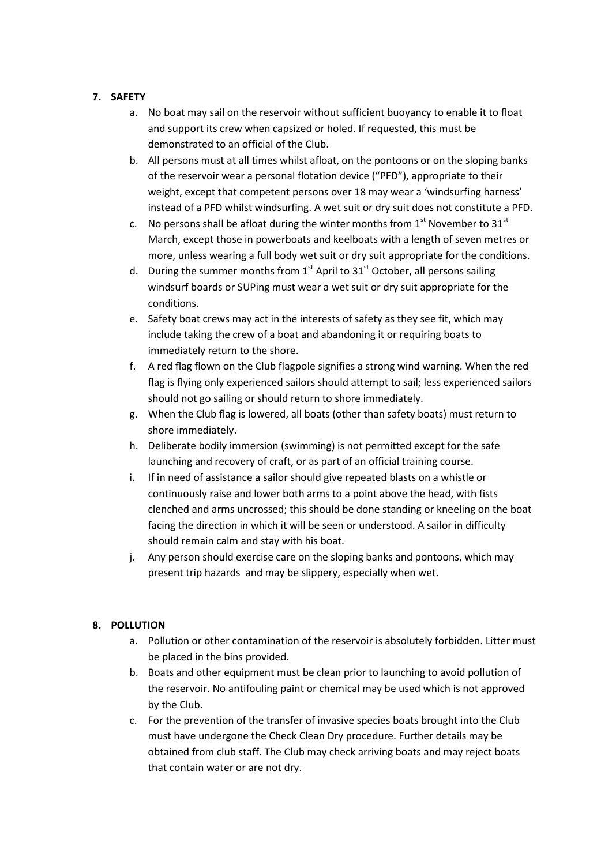## **7. SAFETY**

- a. No boat may sail on the reservoir without sufficient buoyancy to enable it to float and support its crew when capsized or holed. If requested, this must be demonstrated to an official of the Club.
- b. All persons must at all times whilst afloat, on the pontoons or on the sloping banks of the reservoir wear a personal flotation device ("PFD"), appropriate to their weight, except that competent persons over 18 may wear a 'windsurfing harness' instead of a PFD whilst windsurfing. A wet suit or dry suit does not constitute a PFD.
- c. No persons shall be afloat during the winter months from  $1<sup>st</sup>$  November to  $31<sup>st</sup>$ March, except those in powerboats and keelboats with a length of seven metres or more, unless wearing a full body wet suit or dry suit appropriate for the conditions.
- d. During the summer months from  $1<sup>st</sup>$  April to  $31<sup>st</sup>$  October, all persons sailing windsurf boards or SUPing must wear a wet suit or dry suit appropriate for the conditions.
- e. Safety boat crews may act in the interests of safety as they see fit, which may include taking the crew of a boat and abandoning it or requiring boats to immediately return to the shore.
- f. A red flag flown on the Club flagpole signifies a strong wind warning. When the red flag is flying only experienced sailors should attempt to sail; less experienced sailors should not go sailing or should return to shore immediately.
- g. When the Club flag is lowered, all boats (other than safety boats) must return to shore immediately.
- h. Deliberate bodily immersion (swimming) is not permitted except for the safe launching and recovery of craft, or as part of an official training course.
- i. If in need of assistance a sailor should give repeated blasts on a whistle or continuously raise and lower both arms to a point above the head, with fists clenched and arms uncrossed; this should be done standing or kneeling on the boat facing the direction in which it will be seen or understood. A sailor in difficulty should remain calm and stay with his boat.
- j. Any person should exercise care on the sloping banks and pontoons, which may present trip hazards and may be slippery, especially when wet.

### **8. POLLUTION**

- a. Pollution or other contamination of the reservoir is absolutely forbidden. Litter must be placed in the bins provided.
- b. Boats and other equipment must be clean prior to launching to avoid pollution of the reservoir. No antifouling paint or chemical may be used which is not approved by the Club.
- c. For the prevention of the transfer of invasive species boats brought into the Club must have undergone the Check Clean Dry procedure. Further details may be obtained from club staff. The Club may check arriving boats and may reject boats that contain water or are not dry.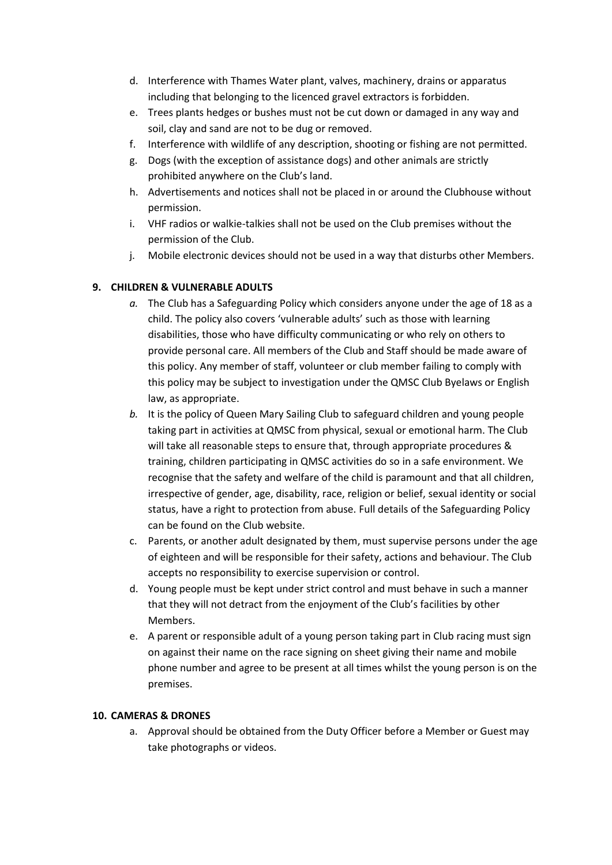- d. Interference with Thames Water plant, valves, machinery, drains or apparatus including that belonging to the licenced gravel extractors is forbidden.
- e. Trees plants hedges or bushes must not be cut down or damaged in any way and soil, clay and sand are not to be dug or removed.
- f. Interference with wildlife of any description, shooting or fishing are not permitted.
- g. Dogs (with the exception of assistance dogs) and other animals are strictly prohibited anywhere on the Club's land.
- h. Advertisements and notices shall not be placed in or around the Clubhouse without permission.
- i. VHF radios or walkie-talkies shall not be used on the Club premises without the permission of the Club.
- j. Mobile electronic devices should not be used in a way that disturbs other Members.

## **9. CHILDREN & VULNERABLE ADULTS**

- *a.* The Club has a Safeguarding Policy which considers anyone under the age of 18 as a child. The policy also covers 'vulnerable adults' such as those with learning disabilities, those who have difficulty communicating or who rely on others to provide personal care. All members of the Club and Staff should be made aware of this policy. Any member of staff, volunteer or club member failing to comply with this policy may be subject to investigation under the QMSC Club Byelaws or English law, as appropriate.
- *b.* It is the policy of Queen Mary Sailing Club to safeguard children and young people taking part in activities at QMSC from physical, sexual or emotional harm. The Club will take all reasonable steps to ensure that, through appropriate procedures & training, children participating in QMSC activities do so in a safe environment. We recognise that the safety and welfare of the child is paramount and that all children, irrespective of gender, age, disability, race, religion or belief, sexual identity or social status, have a right to protection from abuse. Full details of the Safeguarding Policy can be found on the Club website.
- c. Parents, or another adult designated by them, must supervise persons under the age of eighteen and will be responsible for their safety, actions and behaviour. The Club accepts no responsibility to exercise supervision or control.
- d. Young people must be kept under strict control and must behave in such a manner that they will not detract from the enjoyment of the Club's facilities by other Members.
- e. A parent or responsible adult of a young person taking part in Club racing must sign on against their name on the race signing on sheet giving their name and mobile phone number and agree to be present at all times whilst the young person is on the premises.

### **10. CAMERAS & DRONES**

a. Approval should be obtained from the Duty Officer before a Member or Guest may take photographs or videos.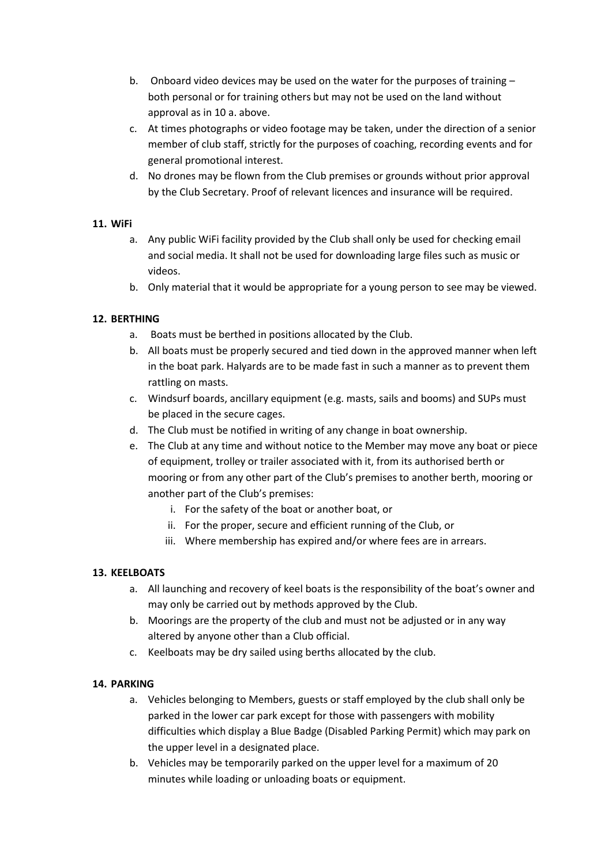- b. Onboard video devices may be used on the water for the purposes of training both personal or for training others but may not be used on the land without approval as in 10 a. above.
- c. At times photographs or video footage may be taken, under the direction of a senior member of club staff, strictly for the purposes of coaching, recording events and for general promotional interest.
- d. No drones may be flown from the Club premises or grounds without prior approval by the Club Secretary. Proof of relevant licences and insurance will be required.

### **11. WiFi**

- a. Any public WiFi facility provided by the Club shall only be used for checking email and social media. It shall not be used for downloading large files such as music or videos.
- b. Only material that it would be appropriate for a young person to see may be viewed.

## **12. BERTHING**

- a. Boats must be berthed in positions allocated by the Club.
- b. All boats must be properly secured and tied down in the approved manner when left in the boat park. Halyards are to be made fast in such a manner as to prevent them rattling on masts.
- c. Windsurf boards, ancillary equipment (e.g. masts, sails and booms) and SUPs must be placed in the secure cages.
- d. The Club must be notified in writing of any change in boat ownership.
- e. The Club at any time and without notice to the Member may move any boat or piece of equipment, trolley or trailer associated with it, from its authorised berth or mooring or from any other part of the Club's premises to another berth, mooring or another part of the Club's premises:
	- i. For the safety of the boat or another boat, or
	- ii. For the proper, secure and efficient running of the Club, or
	- iii. Where membership has expired and/or where fees are in arrears.

# **13. KEELBOATS**

- a. All launching and recovery of keel boats is the responsibility of the boat's owner and may only be carried out by methods approved by the Club.
- b. Moorings are the property of the club and must not be adjusted or in any way altered by anyone other than a Club official.
- c. Keelboats may be dry sailed using berths allocated by the club.

### **14. PARKING**

- a. Vehicles belonging to Members, guests or staff employed by the club shall only be parked in the lower car park except for those with passengers with mobility difficulties which display a Blue Badge (Disabled Parking Permit) which may park on the upper level in a designated place.
- b. Vehicles may be temporarily parked on the upper level for a maximum of 20 minutes while loading or unloading boats or equipment.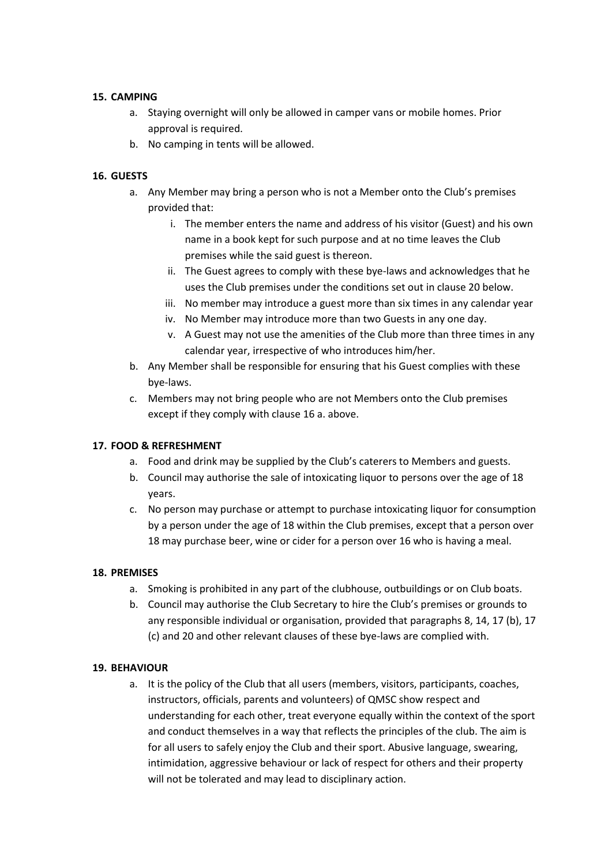#### **15. CAMPING**

- a. Staying overnight will only be allowed in camper vans or mobile homes. Prior approval is required.
- b. No camping in tents will be allowed.

### **16. GUESTS**

- a. Any Member may bring a person who is not a Member onto the Club's premises provided that:
	- i. The member enters the name and address of his visitor (Guest) and his own name in a book kept for such purpose and at no time leaves the Club premises while the said guest is thereon.
	- ii. The Guest agrees to comply with these bye-laws and acknowledges that he uses the Club premises under the conditions set out in clause 20 below.
	- iii. No member may introduce a guest more than six times in any calendar year
	- iv. No Member may introduce more than two Guests in any one day.
	- v. A Guest may not use the amenities of the Club more than three times in any calendar year, irrespective of who introduces him/her.
- b. Any Member shall be responsible for ensuring that his Guest complies with these bye-laws.
- c. Members may not bring people who are not Members onto the Club premises except if they comply with clause 16 a. above.

### **17. FOOD & REFRESHMENT**

- a. Food and drink may be supplied by the Club's caterers to Members and guests.
- b. Council may authorise the sale of intoxicating liquor to persons over the age of 18 years.
- c. No person may purchase or attempt to purchase intoxicating liquor for consumption by a person under the age of 18 within the Club premises, except that a person over 18 may purchase beer, wine or cider for a person over 16 who is having a meal.

### **18. PREMISES**

- a. Smoking is prohibited in any part of the clubhouse, outbuildings or on Club boats.
- b. Council may authorise the Club Secretary to hire the Club's premises or grounds to any responsible individual or organisation, provided that paragraphs 8, 14, 17 (b), 17 (c) and 20 and other relevant clauses of these bye-laws are complied with.

### **19. BEHAVIOUR**

a. It is the policy of the Club that all users (members, visitors, participants, coaches, instructors, officials, parents and volunteers) of QMSC show respect and understanding for each other, treat everyone equally within the context of the sport and conduct themselves in a way that reflects the principles of the club. The aim is for all users to safely enjoy the Club and their sport. Abusive language, swearing, intimidation, aggressive behaviour or lack of respect for others and their property will not be tolerated and may lead to disciplinary action.